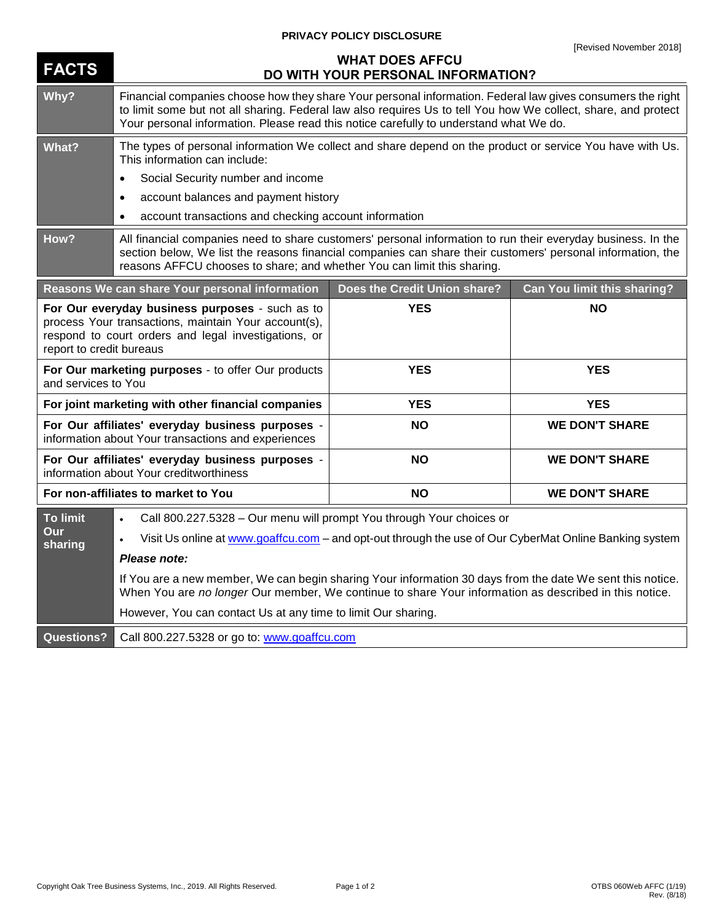## **PRIVACY POLICY DISCLOSURE**

| <b>FACTS</b>                                                                                                                                                                                | <b>WHAT DOES AFFCU</b><br>DO WITH YOUR PERSONAL INFORMATION?                                                                                                                                                                                                                                                           |                              |                             |
|---------------------------------------------------------------------------------------------------------------------------------------------------------------------------------------------|------------------------------------------------------------------------------------------------------------------------------------------------------------------------------------------------------------------------------------------------------------------------------------------------------------------------|------------------------------|-----------------------------|
| Why?                                                                                                                                                                                        | Financial companies choose how they share Your personal information. Federal law gives consumers the right<br>to limit some but not all sharing. Federal law also requires Us to tell You how We collect, share, and protect<br>Your personal information. Please read this notice carefully to understand what We do. |                              |                             |
| <b>What?</b>                                                                                                                                                                                | The types of personal information We collect and share depend on the product or service You have with Us.<br>This information can include:                                                                                                                                                                             |                              |                             |
|                                                                                                                                                                                             | Social Security number and income<br>$\bullet$                                                                                                                                                                                                                                                                         |                              |                             |
|                                                                                                                                                                                             | account balances and payment history<br>$\bullet$                                                                                                                                                                                                                                                                      |                              |                             |
|                                                                                                                                                                                             | account transactions and checking account information<br>$\bullet$                                                                                                                                                                                                                                                     |                              |                             |
| How?                                                                                                                                                                                        | All financial companies need to share customers' personal information to run their everyday business. In the<br>section below, We list the reasons financial companies can share their customers' personal information, the<br>reasons AFFCU chooses to share; and whether You can limit this sharing.                 |                              |                             |
|                                                                                                                                                                                             | Reasons We can share Your personal information                                                                                                                                                                                                                                                                         | Does the Credit Union share? | Can You limit this sharing? |
| For Our everyday business purposes - such as to<br>process Your transactions, maintain Your account(s),<br>respond to court orders and legal investigations, or<br>report to credit bureaus |                                                                                                                                                                                                                                                                                                                        | <b>YES</b>                   | <b>NO</b>                   |
| For Our marketing purposes - to offer Our products<br>and services to You                                                                                                                   |                                                                                                                                                                                                                                                                                                                        | <b>YES</b>                   | <b>YES</b>                  |
| For joint marketing with other financial companies                                                                                                                                          |                                                                                                                                                                                                                                                                                                                        | <b>YES</b>                   | <b>YES</b>                  |
| For Our affiliates' everyday business purposes -<br>information about Your transactions and experiences                                                                                     |                                                                                                                                                                                                                                                                                                                        | <b>NO</b>                    | <b>WE DON'T SHARE</b>       |
| For Our affiliates' everyday business purposes -<br>information about Your creditworthiness                                                                                                 |                                                                                                                                                                                                                                                                                                                        | <b>NO</b>                    | <b>WE DON'T SHARE</b>       |
| For non-affiliates to market to You                                                                                                                                                         |                                                                                                                                                                                                                                                                                                                        | <b>NO</b>                    | <b>WE DON'T SHARE</b>       |
| <b>To limit</b>                                                                                                                                                                             | Call 800.227.5328 - Our menu will prompt You through Your choices or<br>$\bullet$                                                                                                                                                                                                                                      |                              |                             |
| Our<br>sharing                                                                                                                                                                              | Visit Us online at www.goaffcu.com - and opt-out through the use of Our CyberMat Online Banking system                                                                                                                                                                                                                 |                              |                             |
|                                                                                                                                                                                             | Please note:                                                                                                                                                                                                                                                                                                           |                              |                             |
|                                                                                                                                                                                             | If You are a new member, We can begin sharing Your information 30 days from the date We sent this notice.<br>When You are no longer Our member, We continue to share Your information as described in this notice.                                                                                                     |                              |                             |
|                                                                                                                                                                                             | However, You can contact Us at any time to limit Our sharing.                                                                                                                                                                                                                                                          |                              |                             |
| <b>Questions?</b>                                                                                                                                                                           | Call 800.227.5328 or go to: www.goaffcu.com                                                                                                                                                                                                                                                                            |                              |                             |

## Copyright Oak Tree Business Systems, Inc., 2019. All Rights Reserved. Page 1 of 2